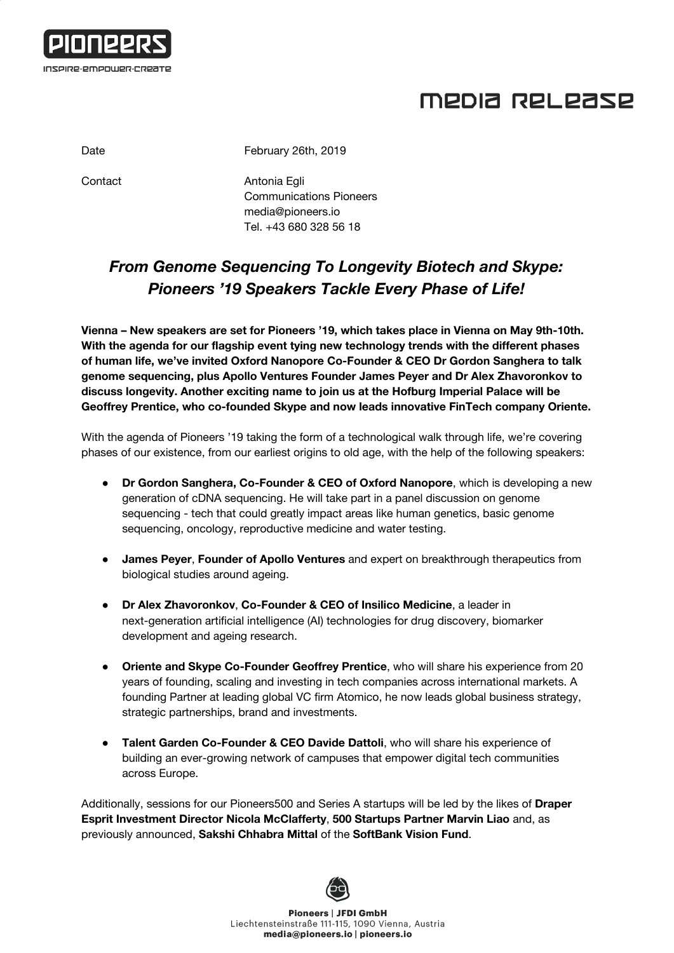

## MEDIA RELEASE

Date **February 26th, 2019** 

Contact **Antonia Egli** Communications Pioneers [media@pioneers.io](mailto:media@pioneers.io) Tel. +43 680 328 56 18

## *From Genome Sequencing To Longevity Biotech and Skype: Pioneers '19 Speakers Tackle Every Phase of Life!*

**Vienna – New speakers are set for Pioneers '19, which takes place in Vienna on May 9th-10th. With the agenda for our flagship event tying new technology trends with the different phases of human life, we've invited Oxford Nanopore Co-Founder & CEO Dr Gordon Sanghera to talk genome sequencing, plus Apollo Ventures Founder James Peyer and Dr Alex Zhavoronkov to discuss longevity. Another exciting name to join us at the Hofburg Imperial Palace will be Geoffrey Prentice, who co-founded Skype and now leads innovative FinTech company Oriente.**

With the agenda of Pioneers '19 taking the form of a technological walk through life, we're covering phases of our existence, from our earliest origins to old age, with the help of the following speakers:

- **Dr Gordon Sanghera, Co-Founder & CEO of Oxford Nanopore**, which is developing a new generation of cDNA sequencing. He will take part in a panel discussion on genome sequencing - tech that could greatly impact areas like human genetics, basic genome sequencing, oncology, reproductive medicine and water testing.
- **James Peyer**, **Founder of Apollo Ventures** and expert on breakthrough therapeutics from biological studies around ageing.
- **Dr Alex Zhavoronkov**, **Co-Founder & CEO of Insilico Medicine**, a leader in next-generation artificial intelligence (AI) technologies for drug discovery, biomarker development and ageing research.
- **Oriente and Skype Co-Founder Geoffrey Prentice**, who will share his experience from 20 years of founding, scaling and investing in tech companies across international markets. A founding Partner at leading global VC firm Atomico, he now leads global business strategy, strategic partnerships, brand and investments.
- **Talent Garden Co-Founder & CEO Davide Dattoli**, who will share his experience of building an ever-growing network of campuses that empower digital tech communities across Europe.

Additionally, sessions for our Pioneers500 and Series A startups will be led by the likes of **Draper Esprit Investment Director Nicola McClafferty**, **500 Startups Partner Marvin Liao** and, as previously announced, **Sakshi Chhabra Mittal** of the **SoftBank Vision Fund**.



**Pioneers | JFDI GmbH** Liechtensteinstraße 111-115, 1090 Vienna, Austria media@pioneers.io | pioneers.io